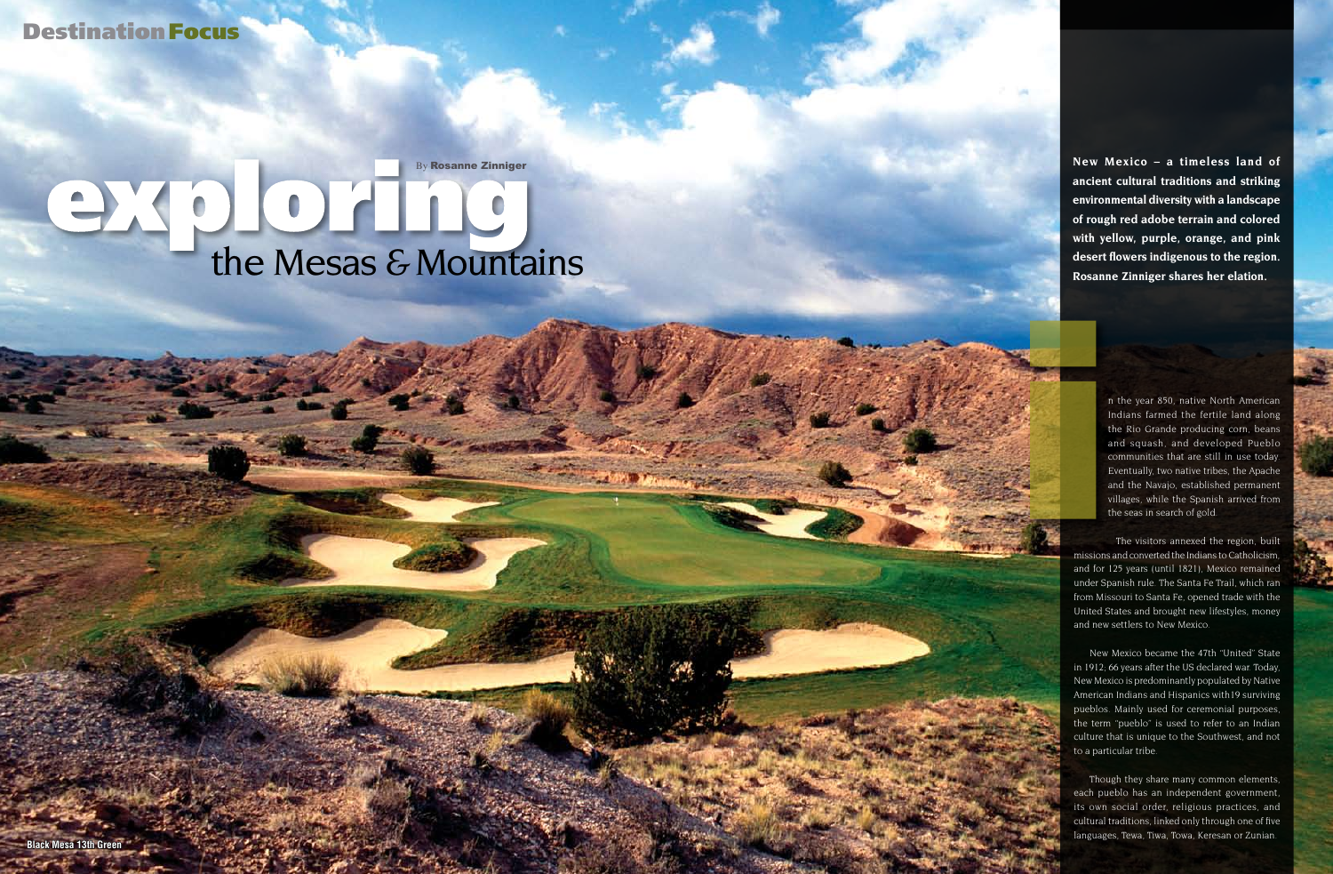n the year 850, native North American Indians farmed the fertile land along the Rio Grande producing corn, beans and squash, and developed Pueblo communities that are still in use today. Eventually, two native tribes, the Apache and the Navajo, established permanent villages, while the Spanish arrived from the seas in search of gold.

The visitors annexed the region, built missions and converted the Indians to Catholicism, and for 125 years (until 1821), Mexico remained under Spanish rule. The Santa Fe Trail, which ran from Missouri to Santa Fe, opened trade with the United States and brought new lifestyles, money and new settlers to New Mexico.

**Destination Focus** 

# By Rosanne Zinniger exploration of the Mesas & Mountains

Black Mesa 13th Green<sup>2</sup> Golf Vacations 2007 65 **Black Mesa 13th Green<sup>2</sup> Golf Vacations 2007 65 <b>Black Mesa 13th Green** 

New Mexico became the 47th "United" State in 1912; 66 years after the US declared war. Today, New Mexico is predominantly populated by Native American Indians and Hispanics with19 surviving pueblos. Mainly used for ceremonial purposes, the term "pueblo" is used to refer to an Indian culture that is unique to the Southwest, and not to a particular tribe.

Though they share many common elements, each pueblo has an independent government, its own social order, religious practices, and cultural traditions, linked only through one of five languages, Tewa, Tiwa, Towa, Keresan or Zunian.

**New Mexico – a timeless land of ancient cultural traditions and striking environmental diversity with a landscape of rough red adobe terrain and colored with yellow, purple, orange, and pink desert flowers indigenous to the region. Rosanne Zinniger shares her elation.**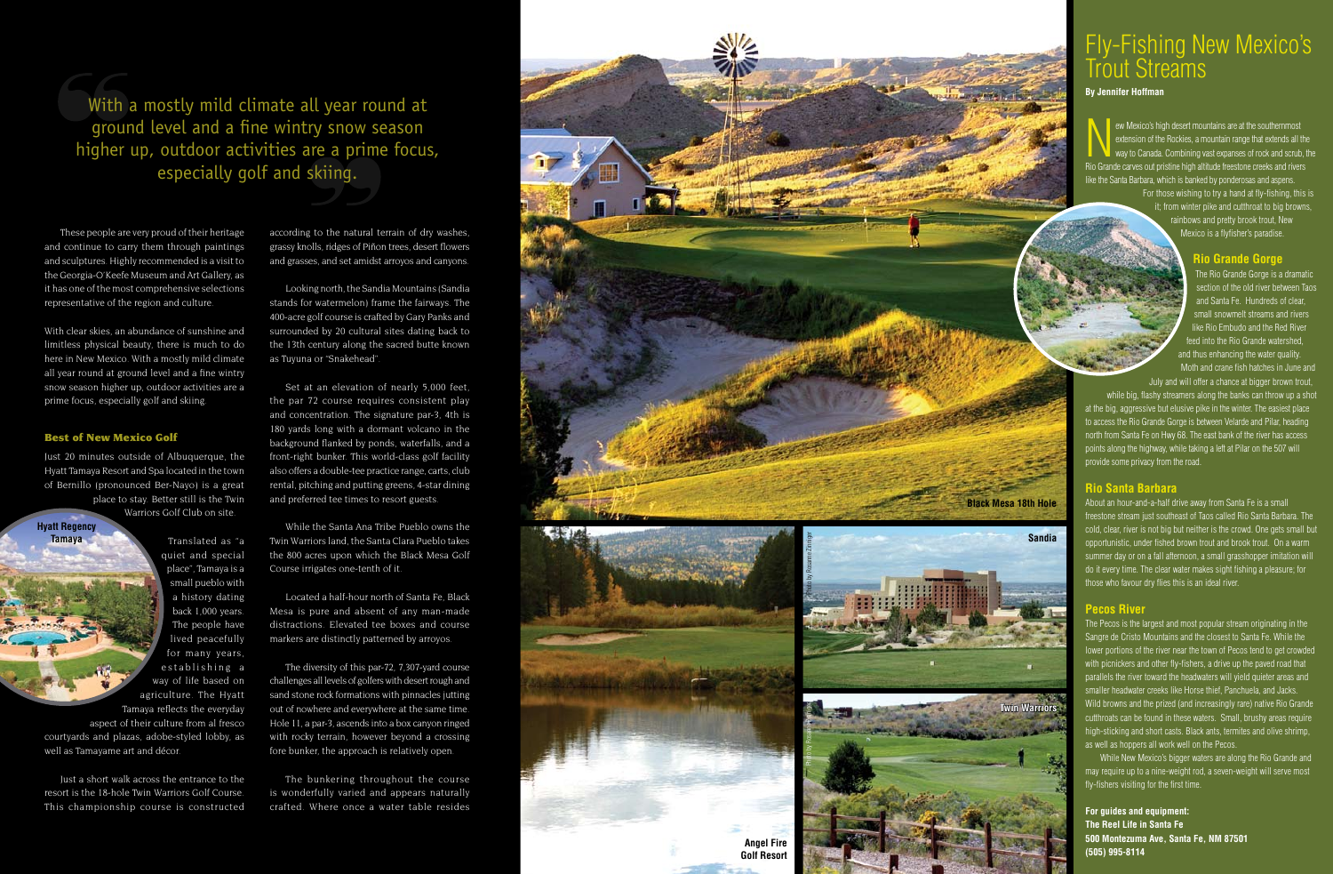These people are very proud of their heritage and continue to carry them through paintings and sculptures. Highly recommended is a visit to the Georgia-O'Keefe Museum and Art Gallery, as it has one of the most comprehensive selections representative of the region and culture.

With clear skies, an abundance of sunshine and limitless physical beauty, there is much to do here in New Mexico. With a mostly mild climate all year round at ground level and a fine wintry snow season higher up, outdoor activities are a prime focus, especially golf and skiing.

# Best of New Mexico Golf

Just 20 minutes outside of Albuquerque, the Hyatt Tamaya Resort and Spa located in the town of Bernillo (pronounced Ber-Nayo) is a great place to stay. Better still is the Twin Warriors Golf Club on site.

> Translated as "a quiet and special place", Tamaya is a small pueblo with a history dating back 1,000 years. The people have lived peacefully for many years, establishing a way of life based on agriculture. The Hyatt Tamaya reflects the everyday

aspect of their culture from al fresco courtyards and plazas, adobe-styled lobby, as well as Tamayame art and décor.

Just a short walk across the entrance to the resort is the 18-hole Twin Warriors Golf Course. This championship course is constructed

according to the natural terrain of dry washes, grassy knolls, ridges of Piñon trees, desert flowers and grasses, and set amidst arroyos and canyons.

Looking north, the Sandia Mountains (Sandia stands for watermelon) frame the fairways. The 400-acre golf course is crafted by Gary Panks and surrounded by 20 cultural sites dating back to the 13th century along the sacred butte known as Tuyuna or "Snakehead".

ew Mexico's high desert mountains are at the southernmost extension of the Rockies, a mountain range that extends all the way to Canada. Combining vast expanses of rock and scrub, the Rio Grande carves out pristine high altitude freestone creeks and rivers like the Santa Barbara, which is banked by ponderosas and aspens. For those wishing to try a hand at fly-fishing, this is it; from winter pike and cutthroat to big browns,

> The Rio Grande Gorge is a dramatic section of the old river between Taos and Santa Fe. Hundreds of clear, small snowmelt streams and rivers like Rio Embudo and the Red River feed into the Rio Grande watershed, and thus enhancing the water quality. Moth and crane fish hatches in June and

Set at an elevation of nearly 5,000 feet, the par 72 course requires consistent play and concentration. The signature par-3, 4th is 180 yards long with a dormant volcano in the background flanked by ponds, waterfalls, and a front-right bunker. This world-class golf facility also offers a double-tee practice range, carts, club rental, pitching and putting greens, 4-star dining and preferred tee times to resort guests.

While the Santa Ana Tribe Pueblo owns the Twin Warriors land, the Santa Clara Pueblo takes the 800 acres upon which the Black Mesa Golf Course irrigates one-tenth of it.

Located a half-hour north of Santa Fe, Black Mesa is pure and absent of any man-made distractions. Elevated tee boxes and course markers are distinctly patterned by arroyos.

The diversity of this par-72, 7,307-yard course challenges all levels of golfers with desert rough and sand stone rock formations with pinnacles jutting out of nowhere and everywhere at the same time. Hole 11, a par-3, ascends into a box canyon ringed with rocky terrain, however beyond a crossing fore bunker, the approach is relatively open.

The bunkering throughout the course is wonderfully varied and appears naturally crafted. Where once a water table resides



# Fly-Fishing New Mexico's Trout Streams

# **By Jennifer Hoffman**

rainbows and pretty brook trout, New Mexico is a flyfisher's paradise.

# **Rio Grande Gorge**

July and will offer a chance at bigger brown trout, while big, flashy streamers along the banks can throw up a shot at the big, aggressive but elusive pike in the winter. The easiest place to access the Rio Grande Gorge is between Velarde and Pilar, heading north from Santa Fe on Hwy 68. The east bank of the river has access points along the highway, while taking a left at Pilar on the 507 will provide some privacy from the road.

# **Rio Santa Barbara**

About an hour-and-a-half drive away from Santa Fe is a small freestone stream just southeast of Taos called Rio Santa Barbara. The cold, clear, river is not big but neither is the crowd. One gets small but opportunistic, under fished brown trout and brook trout. On a warm summer day or on a fall afternoon, a small grasshopper imitation will do it every time. The clear water makes sight fishing a pleasure; for those who favour dry flies this is an ideal river.

# **Pecos River**

The Pecos is the largest and most popular stream originating in the Sangre de Cristo Mountains and the closest to Santa Fe. While the lower portions of the river near the town of Pecos tend to get crowded with picnickers and other fly-fishers, a drive up the paved road that parallels the river toward the headwaters will yield quieter areas and smaller headwater creeks like Horse thief, Panchuela, and Jacks. Wild browns and the prized (and increasingly rare) native Rio Grande cutthroats can be found in these waters. Small, brushy areas require high-sticking and short casts. Black ants, termites and olive shrimp, as well as hoppers all work well on the Pecos.

 While New Mexico's bigger waters are along the Rio Grande and may require up to a nine-weight rod, a seven-weight will serve most fly-fishers visiting for the first time.

**For guides and equipment: The Reel Life in Santa Fe 500 Montezuma Ave, Santa Fe, NM 87501 (505) 995-8114**

With a mostly mild climate all year round at ground level and a fine wintry snow season higher up, outdoor activities are a prime focus, especially golf and skiing.

**Hyatt Regency Tamaya**



**Sandia**